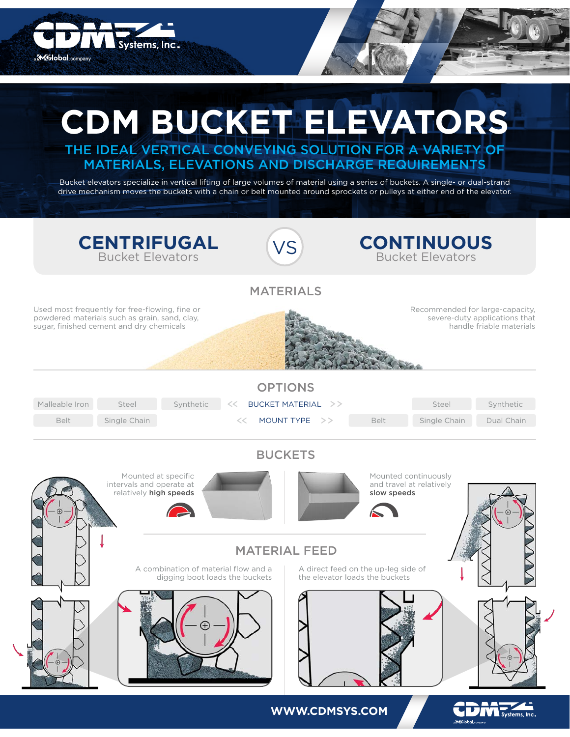

**WWW.CDMSYS.COM**